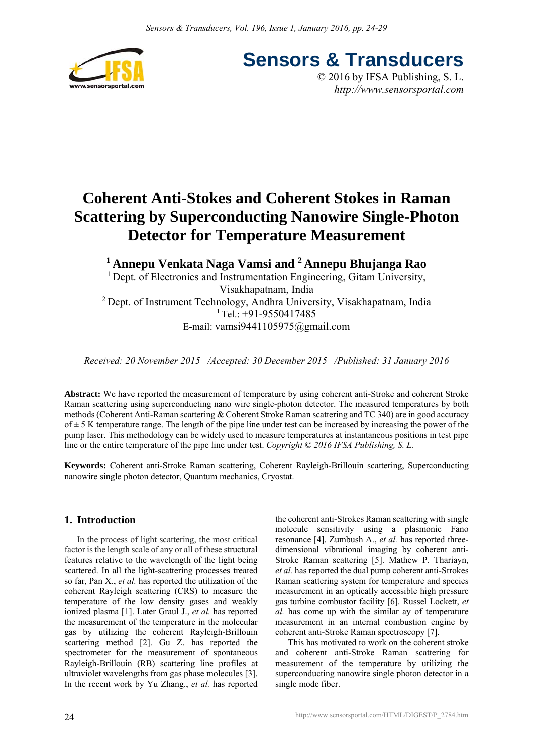

**Sensors & Transducers** © 2016 by IFSA Publishing, S. L.

*http://www.sensorsportal.com*

# **Coherent Anti-Stokes and Coherent Stokes in Raman Scattering by Superconducting Nanowire Single-Photon Detector for Temperature Measurement**

**1 Annepu Venkata Naga Vamsi and 2 Annepu Bhujanga Rao** 

<sup>1</sup> Dept. of Electronics and Instrumentation Engineering, Gitam University, Visakhapatnam, India 2 Dept. of Instrument Technology, Andhra University, Visakhapatnam, India  $1$  Tel.: +91-9550417485 E-mail: vamsi9441105975@gmail.com

*Received: 20 November 2015 /Accepted: 30 December 2015 /Published: 31 January 2016*

**Abstract:** We have reported the measurement of temperature by using coherent anti-Stroke and coherent Stroke Raman scattering using superconducting nano wire single-photon detector. The measured temperatures by both methods (Coherent Anti-Raman scattering & Coherent Stroke Raman scattering and TC 340) are in good accuracy  $of \pm 5$  K temperature range. The length of the pipe line under test can be increased by increasing the power of the pump laser. This methodology can be widely used to measure temperatures at instantaneous positions in test pipe line or the entire temperature of the pipe line under test. *Copyright © 2016 IFSA Publishing, S. L.*

**Keywords:** Coherent anti-Stroke Raman scattering, Coherent Rayleigh-Brillouin scattering, Superconducting nanowire single photon detector, Quantum mechanics, Cryostat.

# **1. Introduction**

In the process of light scattering, the most critical factor is the length scale of any or all of these structural features relative to the wavelength of the light being scattered. In all the light-scattering processes treated so far, Pan X., *et al.* has reported the utilization of the coherent Rayleigh scattering (CRS) to measure the temperature of the low density gases and weakly ionized plasma [1]. Later Graul J., *et al.* has reported the measurement of the temperature in the molecular gas by utilizing the coherent Rayleigh-Brillouin scattering method [2]. Gu Z. has reported the spectrometer for the measurement of spontaneous Rayleigh-Brillouin (RB) scattering line profiles at ultraviolet wavelengths from gas phase molecules [3]. In the recent work by Yu Zhang., *et al.* has reported

the coherent anti-Strokes Raman scattering with single molecule sensitivity using a plasmonic Fano resonance [4]. Zumbush A., *et al.* has reported threedimensional vibrational imaging by coherent anti-Stroke Raman scattering [5]. Mathew P. Thariayn, *et al.* has reported the dual pump coherent anti-Strokes Raman scattering system for temperature and species measurement in an optically accessible high pressure gas turbine combustor facility [6]. Russel Lockett, *et al.* has come up with the similar ay of temperature measurement in an internal combustion engine by coherent anti-Stroke Raman spectroscopy [7].

This has motivated to work on the coherent stroke and coherent anti-Stroke Raman scattering for measurement of the temperature by utilizing the superconducting nanowire single photon detector in a single mode fiber.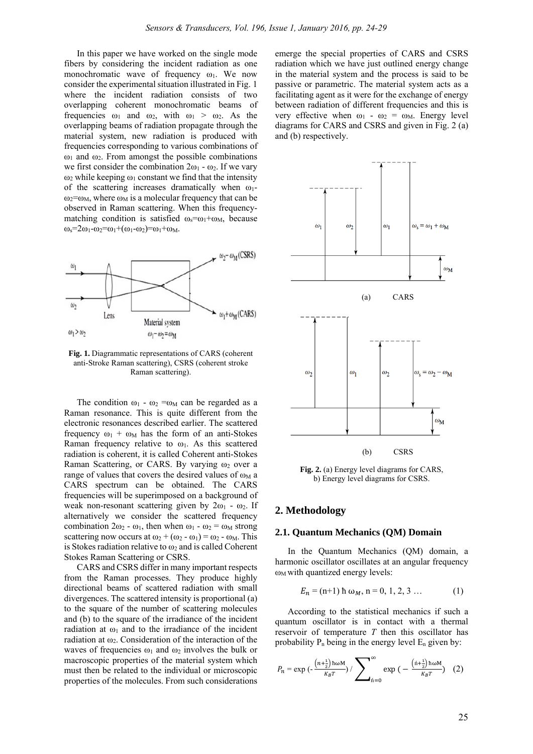In this paper we have worked on the single mode fibers by considering the incident radiation as one monochromatic wave of frequency  $\omega_1$ . We now consider the experimental situation illustrated in Fig. 1 where the incident radiation consists of two overlapping coherent monochromatic beams of frequencies  $\omega_1$  and  $\omega_2$ , with  $\omega_1 > \omega_2$ . As the overlapping beams of radiation propagate through the material system, new radiation is produced with frequencies corresponding to various combinations of  $ω<sub>1</sub>$  and  $ω<sub>2</sub>$ . From amongst the possible combinations we first consider the combination  $2\omega_1 - \omega_2$ . If we vary  $ω<sub>2</sub>$  while keeping  $ω<sub>1</sub>$  constant we find that the intensity of the scattering increases dramatically when  $\omega_1$ - $\omega_2 = \omega_M$ , where  $\omega_M$  is a molecular frequency that can be observed in Raman scattering. When this frequencymatching condition is satisfied  $\omega_s = \omega_1 + \omega_M$ , because  $\omega$ <sub>s</sub>=2 $\omega$ <sub>1</sub>- $\omega$ <sub>2</sub>= $\omega$ <sub>1</sub>+ $(\omega$ <sub>1</sub>- $\omega$ <sub>2</sub>)= $\omega$ <sub>1</sub>+ $\omega$ <sub>M</sub>.



**Fig. 1.** Diagrammatic representations of CARS (coherent anti-Stroke Raman scattering), CSRS (coherent stroke Raman scattering).

The condition  $\omega_1$  -  $\omega_2$  =  $\omega_M$  can be regarded as a Raman resonance. This is quite different from the electronic resonances described earlier. The scattered frequency  $\omega_1$  +  $\omega_M$  has the form of an anti-Stokes Raman frequency relative to  $\omega_1$ . As this scattered radiation is coherent, it is called Coherent anti-Stokes Raman Scattering, or CARS. By varying  $\omega_2$  over a range of values that covers the desired values of  $\omega_M$  a CARS spectrum can be obtained. The CARS frequencies will be superimposed on a background of weak non-resonant scattering given by  $2\omega_1$  -  $\omega_2$ . If alternatively we consider the scattered frequency combination  $2\omega_2 - \omega_1$ , then when  $\omega_1 - \omega_2 = \omega_M$  strong scattering now occurs at  $\omega_2 + (\omega_2 - \omega_1) = \omega_2 - \omega_M$ . This is Stokes radiation relative to  $\omega_2$  and is called Coherent Stokes Raman Scattering or CSRS.

CARS and CSRS differ in many important respects from the Raman processes. They produce highly directional beams of scattered radiation with small divergences. The scattered intensity is proportional (a) to the square of the number of scattering molecules and (b) to the square of the irradiance of the incident radiation at  $\omega_1$  and to the irradiance of the incident radiation at  $\omega_2$ . Consideration of the interaction of the waves of frequencies  $\omega_1$  and  $\omega_2$  involves the bulk or macroscopic properties of the material system which must then be related to the individual or microscopic properties of the molecules. From such considerations

emerge the special properties of CARS and CSRS radiation which we have just outlined energy change in the material system and the process is said to be passive or parametric. The material system acts as a facilitating agent as it were for the exchange of energy between radiation of different frequencies and this is very effective when  $\omega_1 - \omega_2 = \omega_M$ . Energy level diagrams for CARS and CSRS and given in Fig. 2 (a) and (b) respectively.



**Fig. 2.** (a) Energy level diagrams for CARS, b) Energy level diagrams for CSRS.

#### **2. Methodology**

#### **2.1. Quantum Mechanics (QM) Domain**

In the Quantum Mechanics (QM) domain, a harmonic oscillator oscillates at an angular frequency  $\omega_M$  with quantized energy levels:

$$
E_n = (n+1) \hbar \omega_M, n = 0, 1, 2, 3 \dots \tag{1}
$$

According to the statistical mechanics if such a quantum oscillator is in contact with a thermal reservoir of temperature *T* then this oscillator has probability  $P_n$  being in the energy level  $E_n$  given by:

$$
P_n = \exp\left(-\frac{\left(n + \frac{1}{2}\right) \text{h}\omega M}{K_B T}\right) / \sum_{\hat{\mathbf{n}} = 0}^{\infty} \exp\left(-\frac{\left(\hat{\mathbf{n}} + \frac{1}{2}\right) \text{h}\omega M}{K_B T}\right) (2)
$$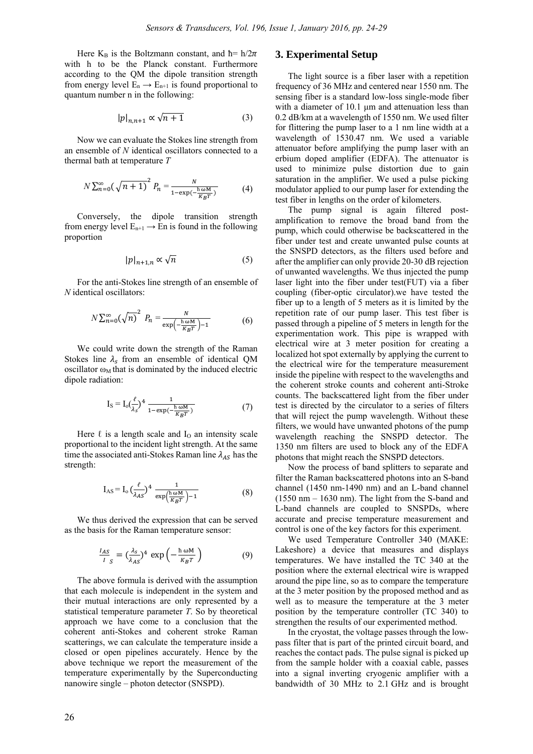Here  $K_B$  is the Boltzmann constant, and  $\hbar = h/2\pi$ with h to be the Planck constant. Furthermore according to the QM the dipole transition strength from energy level  $E_n \rightarrow E_{n+1}$  is found proportional to quantum number n in the following:

$$
|p|_{n,n+1} \propto \sqrt{n+1} \tag{3}
$$

Now we can evaluate the Stokes line strength from an ensemble of *N* identical oscillators connected to a thermal bath at temperature *T* 

$$
N\sum_{n=0}^{\infty}(\sqrt{n+1})^{2}P_{n}=\frac{N}{1-\exp(-\frac{\hbar\omega M}{K_{B}T})}
$$
(4)

Conversely, the dipole transition strength from energy level  $E_{n+1} \rightarrow En$  is found in the following proportion

$$
|p|_{n+1,n} \propto \sqrt{n} \tag{5}
$$

For the anti-Stokes line strength of an ensemble of *N* identical oscillators:

$$
N\sum_{n=0}^{\infty}(\sqrt{n})^2 P_n = \frac{N}{\exp\left(-\frac{\hbar \omega M}{K_B T}\right) - 1}
$$
 (6)

We could write down the strength of the Raman Stokes line  $\lambda_{\rm s}$  from an ensemble of identical OM oscillator  $\omega_M$  that is dominated by the induced electric dipole radiation:

$$
I_S = I_o(\frac{\ell}{\lambda_S})^4 \frac{1}{1 - \exp(-\frac{h \omega M}{K_B T})}
$$
(7)

Here  $\ell$  is a length scale and  $I_0$  an intensity scale proportional to the incident light strength. At the same time the associated anti-Stokes Raman line  $\lambda_{AS}$  has the strength:

$$
I_{AS} = I_o \left(\frac{\ell}{\lambda_{AS}}\right)^4 \frac{1}{\exp\left(\frac{h \omega M}{K_B T}\right) - 1}
$$
 (8)

We thus derived the expression that can be served as the basis for the Raman temperature sensor:

$$
\frac{I_{AS}}{I_S} = \left(\frac{\lambda_S}{\lambda_{AS}}\right)^4 \exp\left(-\frac{\hbar \omega M}{K_B T}\right) \tag{9}
$$

The above formula is derived with the assumption that each molecule is independent in the system and their mutual interactions are only represented by a statistical temperature parameter *T*. So by theoretical approach we have come to a conclusion that the coherent anti-Stokes and coherent stroke Raman scatterings, we can calculate the temperature inside a closed or open pipelines accurately. Hence by the above technique we report the measurement of the temperature experimentally by the Superconducting nanowire single – photon detector (SNSPD).

# **3. Experimental Setup**

The light source is a fiber laser with a repetition frequency of 36 MHz and centered near 1550 nm. The sensing fiber is a standard low-loss single-mode fiber with a diameter of 10.1 μm and attenuation less than 0.2 dB/km at a wavelength of 1550 nm. We used filter for flittering the pump laser to a 1 nm line width at a wavelength of 1530.47 nm. We used a variable attenuator before amplifying the pump laser with an erbium doped amplifier (EDFA). The attenuator is used to minimize pulse distortion due to gain saturation in the amplifier. We used a pulse picking modulator applied to our pump laser for extending the test fiber in lengths on the order of kilometers.

The pump signal is again filtered postamplification to remove the broad band from the pump, which could otherwise be backscattered in the fiber under test and create unwanted pulse counts at the SNSPD detectors, as the filters used before and after the amplifier can only provide 20-30 dB rejection of unwanted wavelengths. We thus injected the pump laser light into the fiber under test(FUT) via a fiber coupling (fiber-optic circulator).we have tested the fiber up to a length of 5 meters as it is limited by the repetition rate of our pump laser. This test fiber is passed through a pipeline of 5 meters in length for the experimentation work. This pipe is wrapped with electrical wire at 3 meter position for creating a localized hot spot externally by applying the current to the electrical wire for the temperature measurement inside the pipeline with respect to the wavelengths and the coherent stroke counts and coherent anti-Stroke counts. The backscattered light from the fiber under test is directed by the circulator to a series of filters that will reject the pump wavelength. Without these filters, we would have unwanted photons of the pump wavelength reaching the SNSPD detector. The 1350 nm filters are used to block any of the EDFA photons that might reach the SNSPD detectors.

Now the process of band splitters to separate and filter the Raman backscattered photons into an S-band channel (1450 nm-1490 nm) and an L-band channel (1550 nm – 1630 nm). The light from the S-band and L-band channels are coupled to SNSPDs, where accurate and precise temperature measurement and control is one of the key factors for this experiment.

We used Temperature Controller 340 (MAKE: Lakeshore) a device that measures and displays temperatures. We have installed the TC 340 at the position where the external electrical wire is wrapped around the pipe line, so as to compare the temperature at the 3 meter position by the proposed method and as well as to measure the temperature at the 3 meter position by the temperature controller (TC 340) to strengthen the results of our experimented method.

In the cryostat, the voltage passes through the lowpass filter that is part of the printed circuit board, and reaches the contact pads. The pulse signal is picked up from the sample holder with a coaxial cable, passes into a signal inverting cryogenic amplifier with a bandwidth of 30 MHz to 2.1 GHz and is brought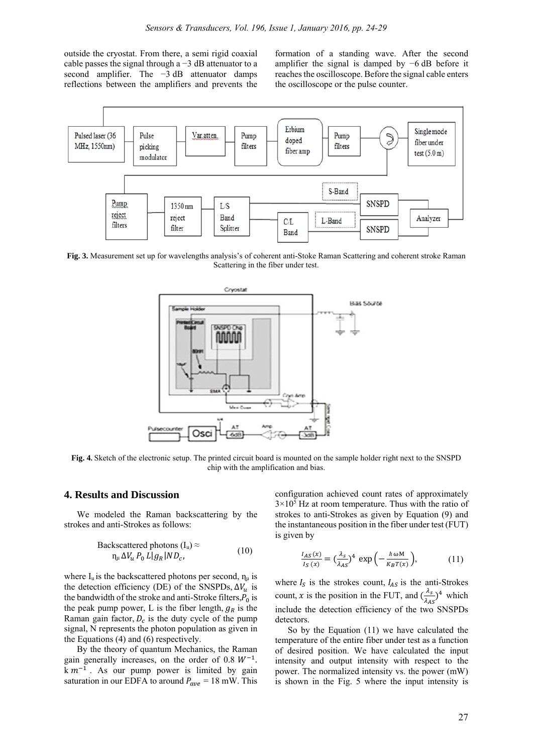outside the cryostat. From there, a semi rigid coaxial cable passes the signal through a −3 dB attenuator to a second amplifier. The  $-3$  dB attenuator damps reflections between the amplifiers and prevents the formation of a standing wave. After the second amplifier the signal is damped by −6 dB before it reaches the oscilloscope. Before the signal cable enters the oscilloscope or the pulse counter.



**Fig. 3.** Measurement set up for wavelengths analysis's of coherent anti-Stoke Raman Scattering and coherent stroke Raman Scattering in the fiber under test.



**Fig. 4.** Sketch of the electronic setup. The printed circuit board is mounted on the sample holder right next to the SNSPD chip with the amplification and bias.

#### **4. Results and Discussion**

We modeled the Raman backscattering by the strokes and anti-Strokes as follows:

Backscattered photons 
$$
(I_u) \approx
$$
  
\n $\eta_u \Delta V_u P_0 L |g_R| N D_c,$  (10)

where  $I_u$  is the backscattered photons per second,  $\eta_u$  is the detection efficiency (DE) of the SNSPDs,  $\Delta V_u$  is the bandwidth of the stroke and anti-Stroke filters, $P_0$  is the peak pump power, L is the fiber length,  $g_R$  is the Raman gain factor,  $D_c$  is the duty cycle of the pump signal, N represents the photon population as given in the Equations (4) and (6) respectively.

By the theory of quantum Mechanics, the Raman gain generally increases, on the order of 0.8  $W^{-1}$ .  $km^{-1}$ . As our pump power is limited by gain saturation in our EDFA to around  $P_{ave} = 18$  mW. This configuration achieved count rates of approximately  $3 \times 10^5$  Hz at room temperature. Thus with the ratio of strokes to anti-Strokes as given by Equation (9) and the instantaneous position in the fiber under test (FUT) is given by

$$
\frac{I_{AS}(x)}{I_S(x)} = \left(\frac{\lambda_S}{\lambda_{AS}}\right)^4 \exp\left(-\frac{\hbar \omega M}{K_B T(x)}\right),\tag{11}
$$

where  $I_S$  is the strokes count,  $I_{AS}$  is the anti-Strokes count, x is the position in the FUT, and  $\left(\frac{\lambda_s}{\lambda_{AS}}\right)^4$  which include the detection efficiency of the two SNSPDs detectors.

So by the Equation (11) we have calculated the temperature of the entire fiber under test as a function of desired position. We have calculated the input intensity and output intensity with respect to the power. The normalized intensity vs. the power (mW) is shown in the Fig. 5 where the input intensity is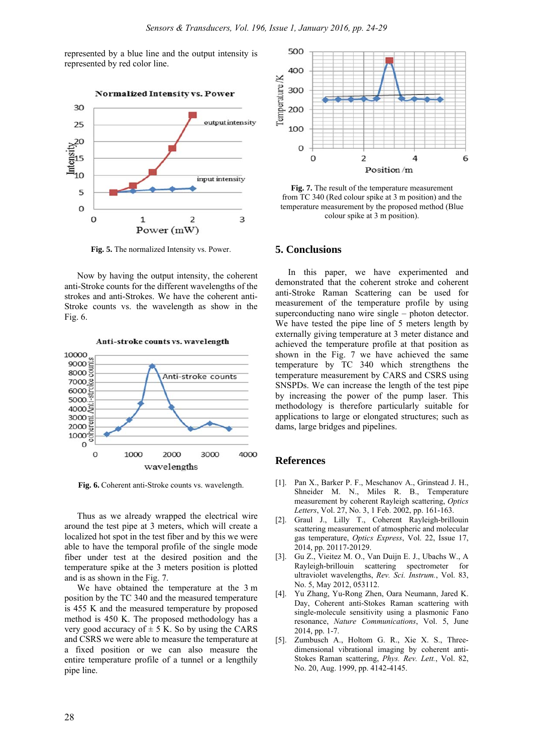represented by a blue line and the output intensity is represented by red color line.



**Fig. 5.** The normalized Intensity vs. Power.

Now by having the output intensity, the coherent anti-Stroke counts for the different wavelengths of the strokes and anti-Strokes. We have the coherent anti-Stroke counts vs. the wavelength as show in the Fig. 6.



**Fig. 6.** Coherent anti-Stroke counts vs. wavelength.

Thus as we already wrapped the electrical wire around the test pipe at 3 meters, which will create a localized hot spot in the test fiber and by this we were able to have the temporal profile of the single mode fiber under test at the desired position and the temperature spike at the 3 meters position is plotted and is as shown in the Fig. 7.

We have obtained the temperature at the 3 m position by the TC 340 and the measured temperature is 455 K and the measured temperature by proposed method is 450 K. The proposed methodology has a very good accuracy of  $\pm$  5 K. So by using the CARS and CSRS we were able to measure the temperature at a fixed position or we can also measure the entire temperature profile of a tunnel or a lengthily pipe line.



**Fig. 7.** The result of the temperature measurement from TC 340 (Red colour spike at 3 m position) and the temperature measurement by the proposed method (Blue colour spike at 3 m position).

### **5. Conclusions**

In this paper, we have experimented and demonstrated that the coherent stroke and coherent anti-Stroke Raman Scattering can be used for measurement of the temperature profile by using superconducting nano wire single – photon detector. We have tested the pipe line of 5 meters length by externally giving temperature at 3 meter distance and achieved the temperature profile at that position as shown in the Fig. 7 we have achieved the same temperature by TC 340 which strengthens the temperature measurement by CARS and CSRS using SNSPDs. We can increase the length of the test pipe by increasing the power of the pump laser. This methodology is therefore particularly suitable for applications to large or elongated structures; such as dams, large bridges and pipelines.

# **References**

- [1]. Pan X., Barker P. F., Meschanov A., Grinstead J. H., Shneider M. N., Miles R. B., Temperature measurement by coherent Rayleigh scattering, *Optics Letters*, Vol. 27, No. 3, 1 Feb. 2002, pp. 161-163.
- [2]. Graul J., Lilly T., Coherent Rayleigh-brillouin scattering measurement of atmospheric and molecular gas temperature, *Optics Express*, Vol. 22, Issue 17, 2014, pp. 20117-20129.
- [3]. Gu Z., Vieitez M. O., Van Duijn E. J., Ubachs W., A Rayleigh-brillouin scattering spectrometer for ultraviolet wavelengths, *Rev. Sci. Instrum.*, Vol. 83, No. 5, May 2012, 053112.
- [4]. Yu Zhang, Yu-Rong Zhen, Oara Neumann, Jared K. Day, Coherent anti-Stokes Raman scattering with single-molecule sensitivity using a plasmonic Fano resonance, *Nature Communications*, Vol. 5, June 2014, pp. 1-7.
- [5]. Zumbusch A., Holtom G. R., Xie X. S., Threedimensional vibrational imaging by coherent anti-Stokes Raman scattering, *Phys. Rev. Lett.*, Vol. 82, No. 20, Aug. 1999, pp. 4142-4145.